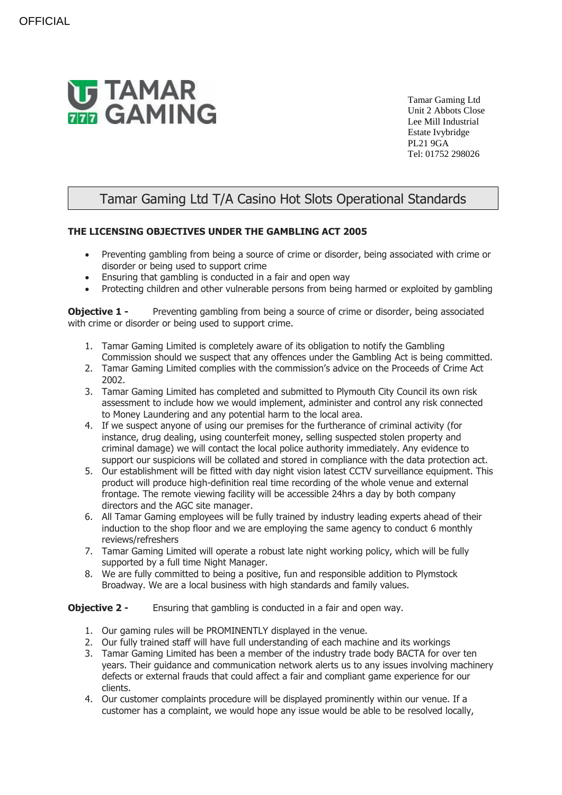

Tamar Gaming Ltd Unit 2 Abbots Close Lee Mill Industrial Estate Ivybridge PL21 9GA Tel: 01752 298026

## Tamar Gaming Ltd T/A Casino Hot Slots Operational Standards

## **THE LICENSING OBJECTIVES UNDER THE GAMBLING ACT 2005**

- Preventing gambling from being a source of crime or disorder, being associated with crime or disorder or being used to support crime
- Ensuring that gambling is conducted in a fair and open way
- Protecting children and other vulnerable persons from being harmed or exploited by gambling

**Objective 1 -** Preventing gambling from being a source of crime or disorder, being associated with crime or disorder or being used to support crime.

- 1. Tamar Gaming Limited is completely aware of its obligation to notify the Gambling Commission should we suspect that any offences under the Gambling Act is being committed.
- 2. Tamar Gaming Limited complies with the commission's advice on the Proceeds of Crime Act 2002.
- 3. Tamar Gaming Limited has completed and submitted to Plymouth City Council its own risk assessment to include how we would implement, administer and control any risk connected to Money Laundering and any potential harm to the local area.
- 4. If we suspect anyone of using our premises for the furtherance of criminal activity (for instance, drug dealing, using counterfeit money, selling suspected stolen property and criminal damage) we will contact the local police authority immediately. Any evidence to support our suspicions will be collated and stored in compliance with the data protection act.
- 5. Our establishment will be fitted with day night vision latest CCTV surveillance equipment. This product will produce high-definition real time recording of the whole venue and external frontage. The remote viewing facility will be accessible 24hrs a day by both company directors and the AGC site manager.
- 6. All Tamar Gaming employees will be fully trained by industry leading experts ahead of their induction to the shop floor and we are employing the same agency to conduct 6 monthly reviews/refreshers
- 7. Tamar Gaming Limited will operate a robust late night working policy, which will be fully supported by a full time Night Manager.
- 8. We are fully committed to being a positive, fun and responsible addition to Plymstock Broadway. We are a local business with high standards and family values.

## **Objective 2 -** Ensuring that gambling is conducted in a fair and open way.

- 1. Our gaming rules will be PROMINENTLY displayed in the venue.
- 2. Our fully trained staff will have full understanding of each machine and its workings
- 3. Tamar Gaming Limited has been a member of the industry trade body BACTA for over ten years. Their guidance and communication network alerts us to any issues involving machinery defects or external frauds that could affect a fair and compliant game experience for our clients.
- 4. Our customer complaints procedure will be displayed prominently within our venue. If a customer has a complaint, we would hope any issue would be able to be resolved locally,